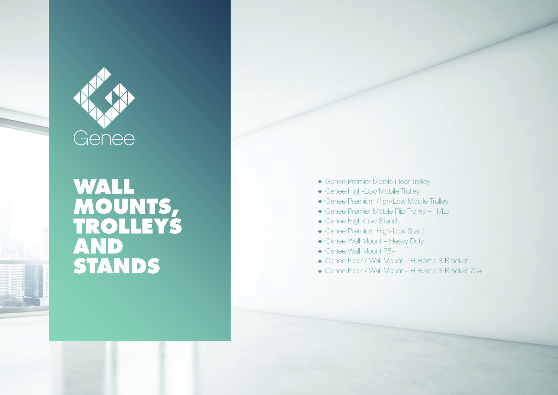

# WALL<br>MOUNTS,<br>TROLLEYS<br>AND<br>STANDS

- Genee Premier Mobile Floor Trolley
- Genee High-Low Mobile Trolley
- Genee Premium High-Low Mobile Trolley
- Genee Premier Mobile Flip Trolley Hi/Lo
- Genee High-Low Stand
- Genee Premium High-Low Stand
- Genee Wall Mount Heavy Duty
- Genee Wall Mount 75+
- Genee Floor / Wall Mount H Frame & Bracket
- Genee Floor / Wall Mount H Frame & Bracket 75+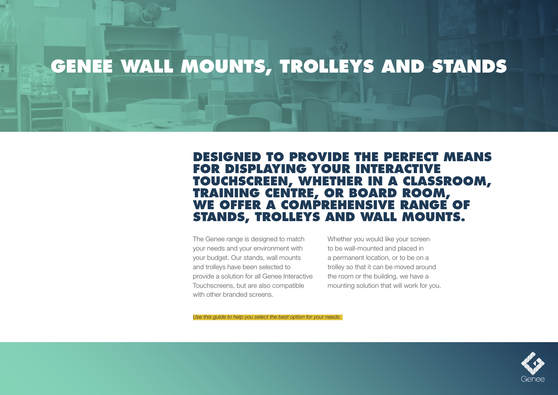# **GENEE WALL MOUNTS, TROLLEYS AND STANDS**

#### **DESIGNED TO PROVIDE THE PERFECT MEANS FOR DISPLAYING YOUR INTERACTIVE TOUCHSCREEN, WHETHER IN A CLASSROOM, TRAINING CENTRE, OR BOARD ROOM, WE OFFER A COMPREHENSIVE RANGE OF STANDS, TROLLEYS AND WALL MOUNTS.**

The Genee range is designed to match your needs and your environment with your budget. Our stands, wall mounts and trolleys have been selected to provide a solution for all Genee Interactive Touchscreens, but are also compatible with other branded screens.

Whether you would like your screen to be wall-mounted and placed in a permanent location, or to be on a trolley so that it can be moved around the room or the building, we have a mounting solution that will work for you.

*Use this guide to help you select the best option for your needs.* 

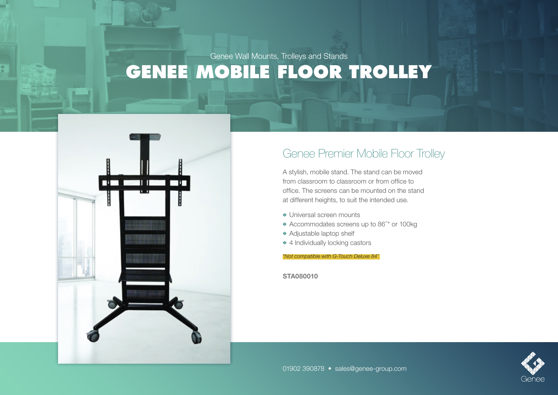

#### Genee Premier Mobile Floor Trolley

A stylish, mobile stand. The stand can be moved from classroom to classroom or from office to office. The screens can be mounted on the stand at different heights, to suit the intended use.

- Universal screen mounts
- Accommodates screens up to 86˝ \* or 100kg
- Adjustable laptop shelf
- ◆ 4 Individually locking castors

*\*Not compatible with G-Touch Deluxe 84˝* 

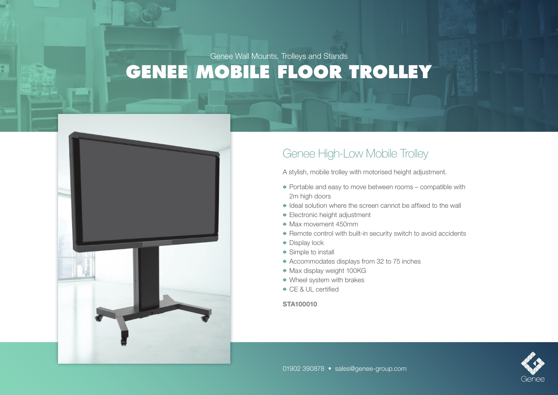

## Genee High-Low Mobile Trolley

A stylish, mobile trolley with motorised height adjustment.

- Portable and easy to move between rooms compatible with 2m high doors
- Ideal solution where the screen cannot be affixed to the wall
- Electronic height adjustment
- Max movement 450mm
- Remote control with built-in security switch to avoid accidents
- ◆ Display lock
- **◆ Simple to install**
- Accommodates displays from 32 to 75 inches
- Max display weight 100KG
- Wheel system with brakes
- **◆ CE & UL certified**

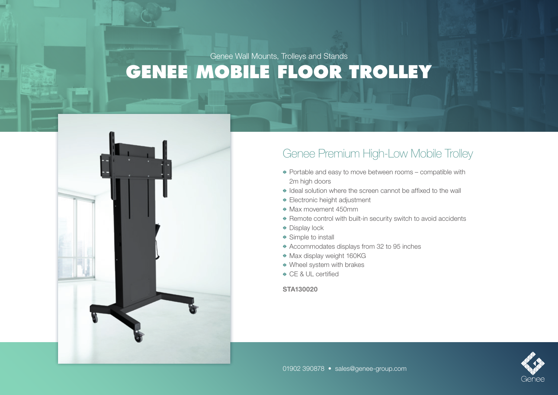

## Genee Premium High-Low Mobile Trolley

- Portable and easy to move between rooms compatible with 2m high doors
- Ideal solution where the screen cannot be affixed to the wall
- Electronic height adjustment
- $\bullet$  Max movement 450mm
- Remote control with built-in security switch to avoid accidents
- ◆ Display lock
- ◆ Simple to install
- Accommodates displays from 32 to 95 inches
- Max display weight 160KG
- Wheel system with brakes
- **CE & UL certified**

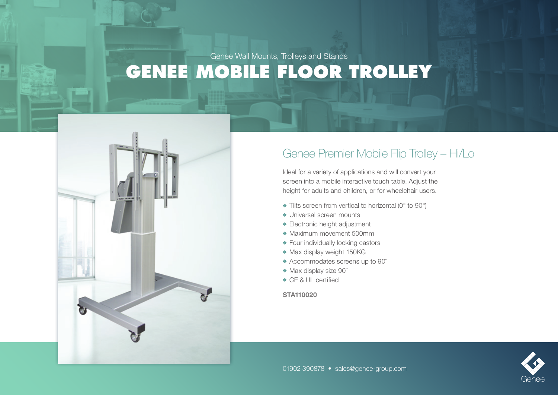

## Genee Premier Mobile Flip Trolley – Hi/Lo

Ideal for a variety of applications and will convert your screen into a mobile interactive touch table. Adjust the height for adults and children, or for wheelchair users.

- Tilts screen from vertical to horizontal (0° to 90°)
- Universal screen mounts
- Electronic height adjustment
- Maximum movement 500mm
- Four individually locking castors
- Max display weight 150KG
- Accommodates screens up to 90˝
- ◆ Max display size 90"
- CE & UL certified

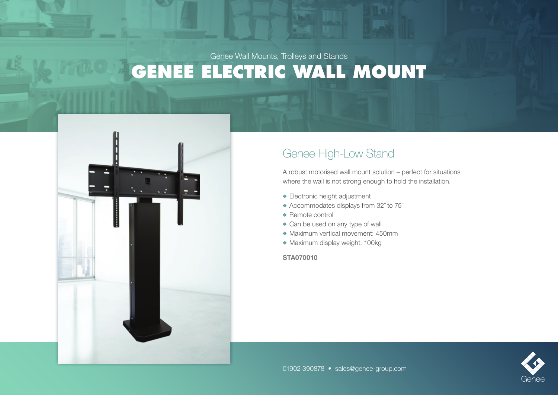**GENEE ELECTRIC WALL MOUNT** Genee Wall Mounts, Trolleys and Stands



## Genee High-Low Stand

A robust motorised wall mount solution – perfect for situations where the wall is not strong enough to hold the installation.

- Electronic height adjustment
- Accommodates displays from 32˝ to 75˝
- ◆ Remote control
- Can be used on any type of wall
- Maximum vertical movement: 450mm
- Maximum display weight: 100kg

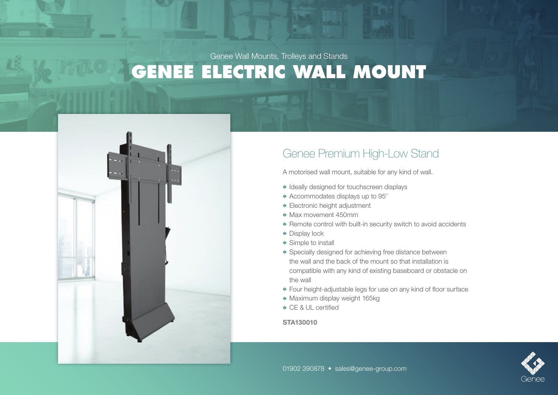**GENEE ELECTRIC WALL MOUNT** Genee Wall Mounts, Trolleys and Stands



## Genee Premium High-Low Stand

A motorised wall mount, suitable for any kind of wall.

- $\bullet$  Ideally designed for touchscreen displays
- Accommodates displays up to 95˝
- Electronic height adjustment
- Max movement 450mm
- Remote control with built-in security switch to avoid accidents
- ◆ Display lock
- ◆ Simple to install
- Specially designed for achieving free distance between the wall and the back of the mount so that installation is compatible with any kind of existing baseboard or obstacle on the wall
- Four height-adjustable legs for use on any kind of floor surface
- Maximum display weight 165kg
- **◆ CE & UL certified**

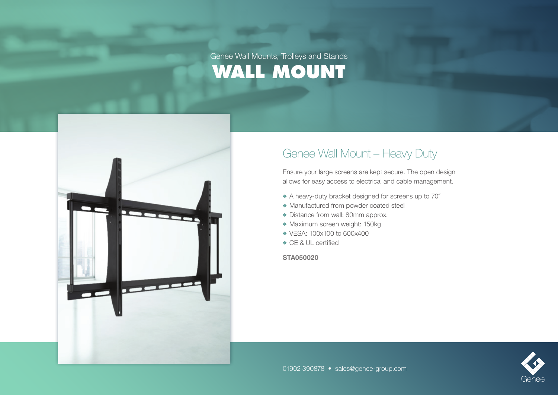

## Genee Wall Mount – Heavy Duty

Ensure your large screens are kept secure. The open design allows for easy access to electrical and cable management.

- A heavy-duty bracket designed for screens up to 70˝
- Manufactured from powder coated steel
- Distance from wall: 80mm approx.
- Maximum screen weight: 150kg
- VESA: 100x100 to 600x400
- CE & UL certified

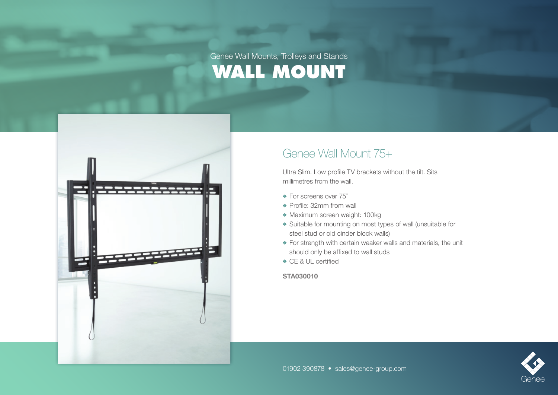

#### Genee Wall Mount 75+

Ultra Slim. Low profile TV brackets without the tilt. Sits millimetres from the wall.

- For screens over 75˝
- ◆ Profile: 32mm from wall
- Maximum screen weight: 100kg
- Suitable for mounting on most types of wall (unsuitable for steel stud or old cinder block walls)
- For strength with certain weaker walls and materials, the unit should only be affixed to wall studs
- CE & UL certified

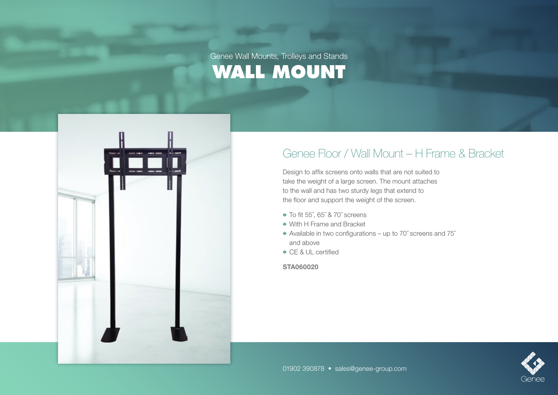

## Genee Floor / Wall Mount – H Frame & Bracket

Design to affix screens onto walls that are not suited to take the weight of a large screen. The mount attaches to the wall and has two sturdy legs that extend to the floor and support the weight of the screen.

- To fit 55˝, 65˝ & 70˝ screens
- With H Frame and Bracket
- Available in two configurations up to 70˝ screens and 75˝ and above
- **← CF & UL certified**